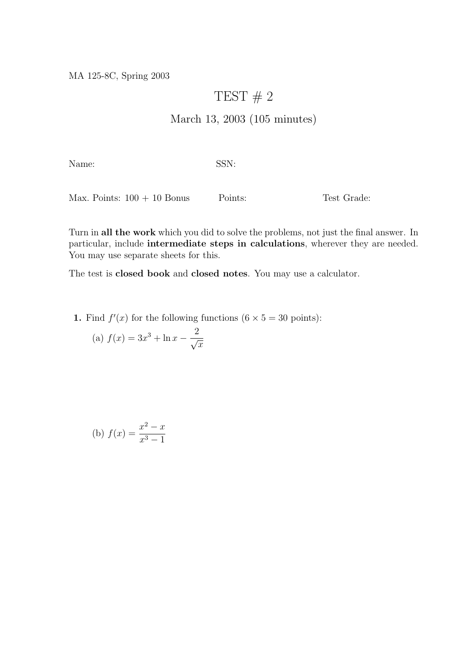MA 125-8C, Spring 2003

## TEST  $# 2$

## March 13, 2003 (105 minutes)

Name: SSN:

Max. Points:  $100 + 10$  Bonus Points: Test Grade:

Turn in all the work which you did to solve the problems, not just the final answer. In particular, include intermediate steps in calculations, wherever they are needed. You may use separate sheets for this.

The test is closed book and closed notes. You may use a calculator.

1. Find  $f'(x)$  for the following functions  $(6 \times 5 = 30 \text{ points})$ :

(a) 
$$
f(x) = 3x^3 + \ln x - \frac{2}{\sqrt{x}}
$$

(b) 
$$
f(x) = \frac{x^2 - x}{x^3 - 1}
$$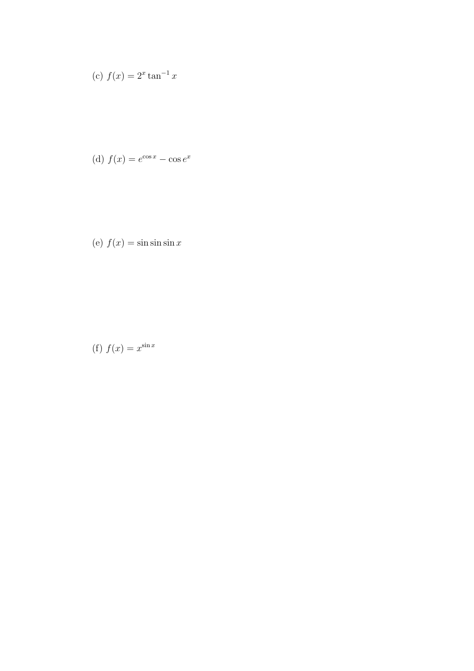(c) 
$$
f(x) = 2^x \tan^{-1} x
$$

(d) 
$$
f(x) = e^{\cos x} - \cos e^x
$$

(e) 
$$
f(x) = \sin \sin \sin x
$$

(f) 
$$
f(x) = x^{\sin x}
$$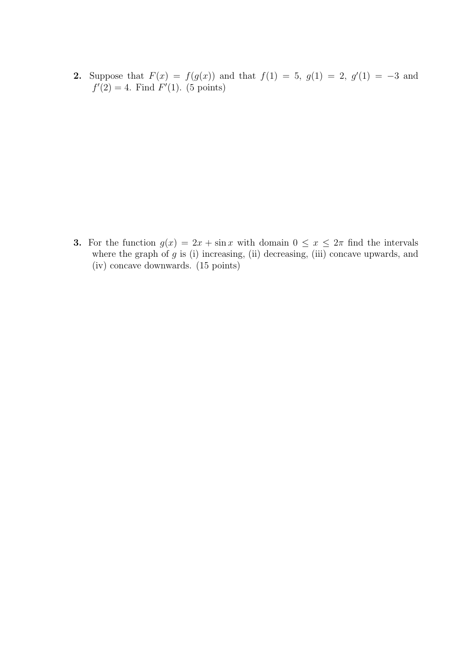2. Suppose that  $F(x) = f(g(x))$  and that  $f(1) = 5$ ,  $g(1) = 2$ ,  $g'(1) = -3$  and  $f'(2) = 4$ . Find  $F'(1)$ . (5 points)

3. For the function  $g(x) = 2x + \sin x$  with domain  $0 \le x \le 2\pi$  find the intervals where the graph of  $g$  is (i) increasing, (ii) decreasing, (iii) concave upwards, and (iv) concave downwards. (15 points)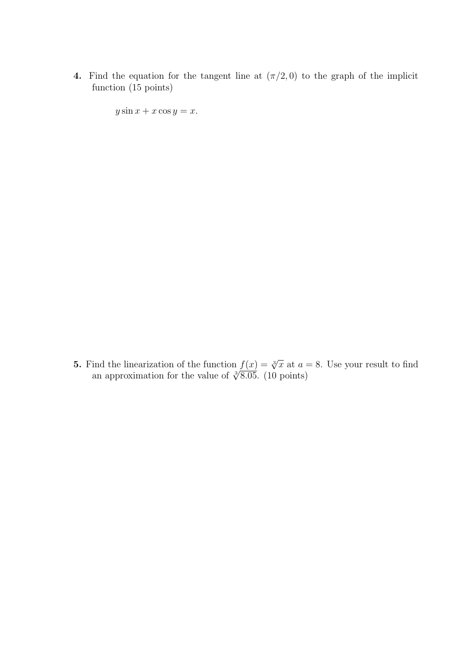4. Find the equation for the tangent line at  $(\pi/2, 0)$  to the graph of the implicit function (15 points)

 $y \sin x + x \cos y = x.$ 

**5.** Find the linearization of the function  $f(x) = \sqrt[3]{x}$  at  $a = 8$ . Use your result to find and the imearization of the function  $f(x) = \sqrt[3]{x}$  at a s<br>an approximation for the value of  $\sqrt[3]{8.05}$ . (10 points)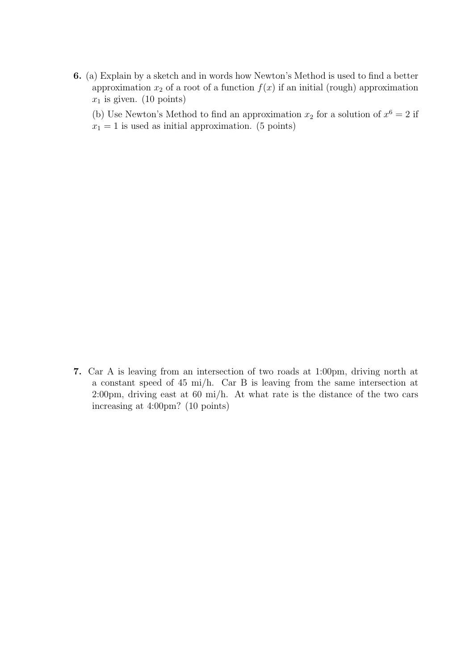- 6. (a) Explain by a sketch and in words how Newton's Method is used to find a better approximation  $x_2$  of a root of a function  $f(x)$  if an initial (rough) approximation  $x_1$  is given. (10 points)
	- (b) Use Newton's Method to find an approximation  $x_2$  for a solution of  $x^6 = 2$  if
	- $x_1 = 1$  is used as initial approximation. (5 points)

7. Car A is leaving from an intersection of two roads at 1:00pm, driving north at a constant speed of 45 mi/h. Car B is leaving from the same intersection at 2:00pm, driving east at 60 mi/h. At what rate is the distance of the two cars increasing at 4:00pm? (10 points)